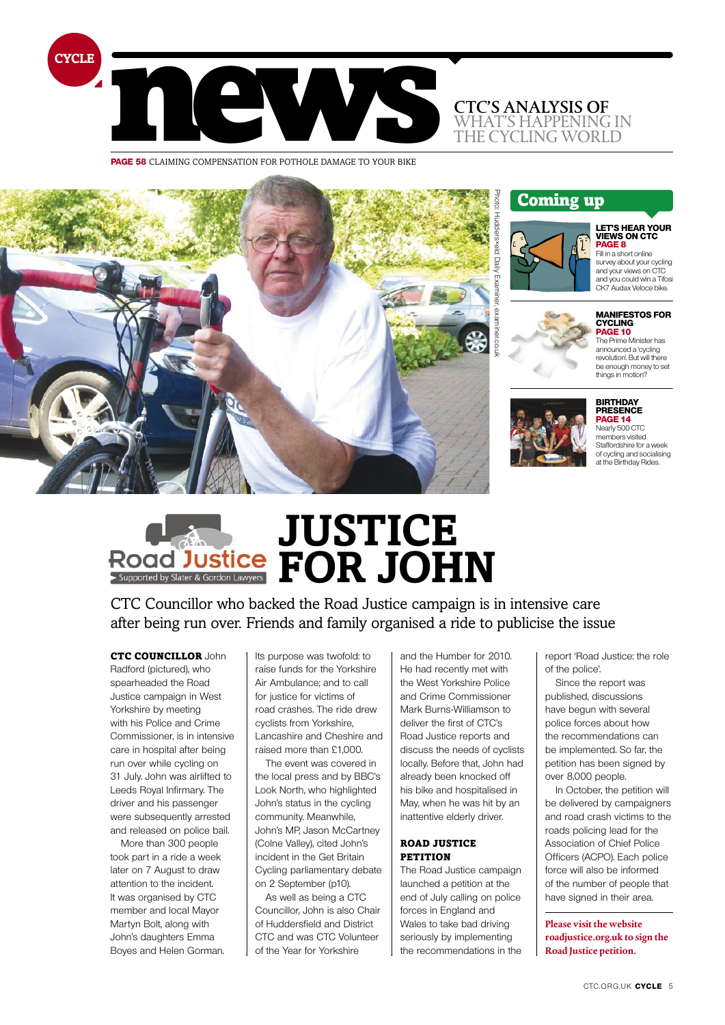

**page 58** claiming compensation for pothole damage to your bike



# Coming up



#### **let's hear your views on CTC page 8** Fill in a short online

survey about your cycling and your views on CTC and you could win a Tifosi CK7 Audax Veloce bike.

# **manifestos for cycling page 10**





**birthday presence PAGE 14**<br>Nearly 500 CTC

members visited Staffordshire for a week of cycling and socialising at the Birthday Rides.

# **Justice for John**

CTC Councillor who backed the Road Justice campaign is in intensive care after being run over. Friends and family organised a ride to publicise the issue

# CTC COUNCILLOR John

Radford (pictured), who spearheaded the Road Justice campaign in West Yorkshire by meeting with his Police and Crime Commissioner, is in intensive care in hospital after being run over while cycling on 31 July. John was airlifted to Leeds Royal Infirmary. The driver and his passenger were subsequently arrested and released on police bail.

More than 300 people took part in a ride a week later on 7 August to draw attention to the incident. It was organised by CTC member and local Mayor Martyn Bolt, along with John's daughters Emma Boyes and Helen Gorman.

Its purpose was twofold: to raise funds for the Yorkshire Air Ambulance; and to call for justice for victims of road crashes. The ride drew cyclists from Yorkshire, Lancashire and Cheshire and raised more than £1,000.

The event was covered in the local press and by BBC's Look North, who highlighted John's status in the cycling community. Meanwhile, John's MP, Jason McCartney (Colne Valley), cited John's incident in the Get Britain Cycling parliamentary debate on 2 September (p10).

As well as being a CTC Councillor, John is also Chair of Huddersfield and District CTC and was CTC Volunteer of the Year for Yorkshire

and the Humber for 2010. He had recently met with the West Yorkshire Police and Crime Commissioner Mark Burns-Williamson to deliver the first of CTC's Road Justice reports and discuss the needs of cyclists locally. Before that, John had already been knocked off his bike and hospitalised in May, when he was hit by an inattentive elderly driver.

### Road Justice petition

The Road Justice campaign launched a petition at the end of July calling on police forces in England and Wales to take bad driving seriously by implementing the recommendations in the

report 'Road Justice: the role of the police'.

Since the report was published, discussions have begun with several police forces about how the recommendations can be implemented. So far, the petition has been signed by over 8,000 people.

In October, the petition will be delivered by campaigners and road crash victims to the roads policing lead for the Association of Chief Police Officers (ACPO). Each police force will also be informed of the number of people that have signed in their area.

**Please visit the website roadjustice.org.uk to sign the Road Justice petition.**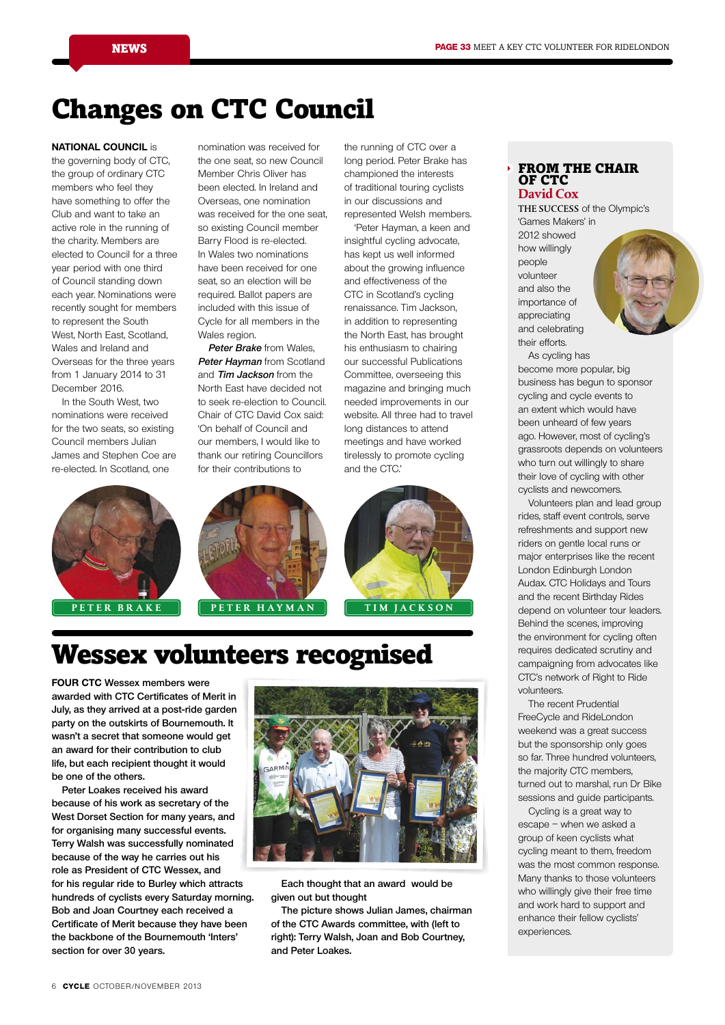# Changes on CTC Council

### **National Council** is

the governing body of CTC, the group of ordinary CTC members who feel they have something to offer the Club and want to take an active role in the running of the charity. Members are elected to Council for a three year period with one third of Council standing down each year. Nominations were recently sought for members to represent the South West, North East, Scotland, Wales and Ireland and Overseas for the three years from 1 January 2014 to 31 December 2016.

In the South West, two nominations were received for the two seats, so existing Council members Julian James and Stephen Coe are re-elected. In Scotland, one



nomination was received for the one seat, so new Council Member Chris Oliver has been elected. In Ireland and Overseas, one nomination was received for the one seat, so existing Council member Barry Flood is re-elected. In Wales two nominations have been received for one seat, so an election will be required. Ballot papers are included with this issue of Cycle for all members in the Wales region.

**Peter Brake** from Wales, **Peter Hayman** from Scotland and **Tim Jackson** from the North East have decided not to seek re-election to Council. Chair of CTC David Cox said: 'On behalf of Council and our members, I would like to thank our retiring Councillors for their contributions to

championed the interests of traditional touring cyclists in our discussions and represented Welsh members. 'Peter Hayman, a keen and

the running of CTC over a long period. Peter Brake has

insightful cycling advocate, has kept us well informed about the growing influence and effectiveness of the CTC in Scotland's cycling renaissance. Tim Jackson, in addition to representing the North East, has brought his enthusiasm to chairing our successful Publications Committee, overseeing this magazine and bringing much needed improvements in our website. All three had to travel long distances to attend meetings and have worked tirelessly to promote cycling and the CTC.'



# Wessex volunteers recognised

**Four CTC Wessex members were awarded with CTC Certificates of Merit in July, as they arrived at a post-ride garden party on the outskirts of Bournemouth. It wasn't a secret that someone would get an award for their contribution to club life, but each recipient thought it would be one of the others.** 

**Peter Loakes received his award because of his work as secretary of the West Dorset Section for many years, and for organising many successful events. Terry Walsh was successfully nominated because of the way he carries out his role as President of CTC Wessex, and for his regular ride to Burley which attracts hundreds of cyclists every Saturday morning. Bob and Joan Courtney each received a Certificate of Merit because they have been the backbone of the Bournemouth 'Inters' section for over 30 years.**



**Each thought that an award would be given out but thought** 

**The picture shows Julian James, chairman of the CTC Awards committee, with (left to right): Terry Walsh, Joan and Bob Courtney, and Peter Loakes.**

### FROM THE CHAIR OF CTC **David Cox**

The success of the Olympic's

'Games Makers' in 2012 showed how willingly people volunteer and also the importance of appreciating and celebrating their efforts.



As cycling has become more popular, big business has begun to sponsor cycling and cycle events to an extent which would have been unheard of few years ago. However, most of cycling's grassroots depends on volunteers who turn out willingly to share their love of cycling with other cyclists and newcomers.

Volunteers plan and lead group rides, staff event controls, serve refreshments and support new riders on gentle local runs or major enterprises like the recent London Edinburgh London Audax. CTC Holidays and Tours and the recent Birthday Rides depend on volunteer tour leaders. Behind the scenes, improving the environment for cycling often requires dedicated scrutiny and campaigning from advocates like CTC's network of Right to Ride volunteers.

The recent Prudential FreeCycle and RideLondon weekend was a great success but the sponsorship only goes so far. Three hundred volunteers, the majority CTC members, turned out to marshal, run Dr Bike sessions and guide participants.

Cycling is a great way to escape – when we asked a group of keen cyclists what cycling meant to them, freedom was the most common response. Many thanks to those volunteers who willingly give their free time and work hard to support and enhance their fellow cyclists' experiences.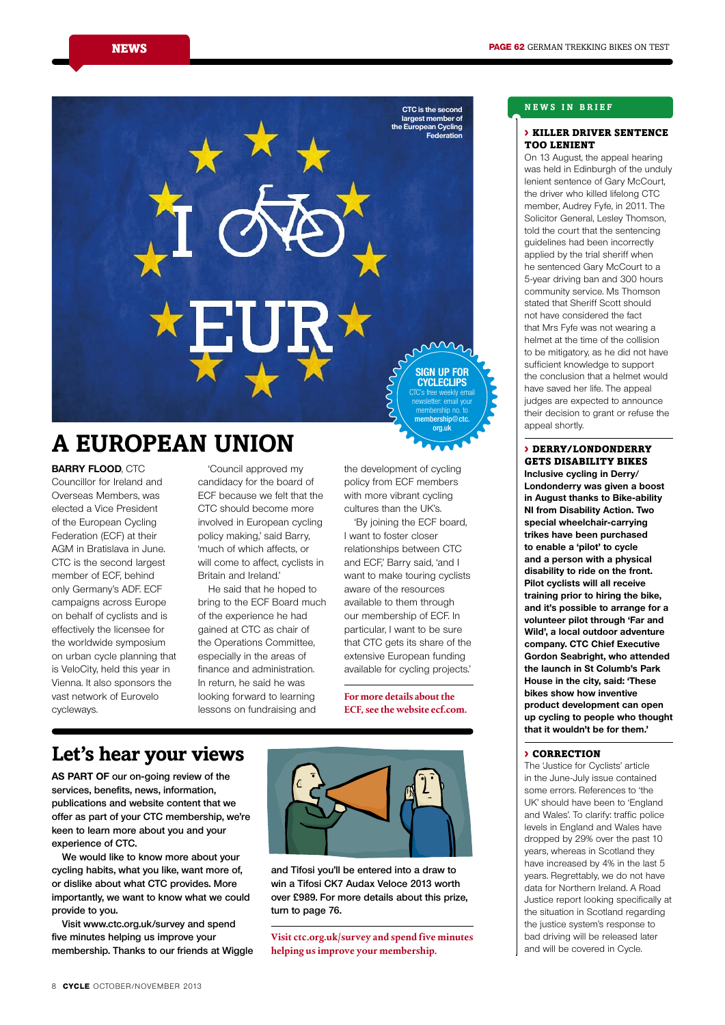

# **A European union**

**Barry Flood**, CTC Councillor for Ireland and Overseas Members, was elected a Vice President of the European Cycling Federation (ECF) at their AGM in Bratislava in June. CTC is the second largest member of ECF, behind only Germany's ADF. ECF campaigns across Europe on behalf of cyclists and is effectively the licensee for the worldwide symposium on urban cycle planning that is VeloCity, held this year in Vienna. It also sponsors the vast network of Eurovelo cycleways.

'Council approved my candidacy for the board of ECF because we felt that the CTC should become more involved in European cycling policy making,' said Barry, 'much of which affects, or will come to affect, cyclists in Britain and Ireland.'

He said that he hoped to bring to the ECF Board much of the experience he had gained at CTC as chair of the Operations Committee, especially in the areas of finance and administration. In return, he said he was looking forward to learning lessons on fundraising and

the development of cycling policy from ECF members with more vibrant cycling cultures than the UK's.

'By joining the ECF board, I want to foster closer relationships between CTC and ECF,' Barry said, 'and I want to make touring cyclists aware of the resources available to them through our membership of ECF. In particular, I want to be sure that CTC gets its share of the extensive European funding available for cycling projects.'

**For more details about the ECF, see the website ecf.com.**

# **Let's hear your views**

**as part of our on-going review of the services, benefits, news, information, publications and website content that we offer as part of your CTC membership, we're keen to learn more about you and your experience of CTC.**

**We would like to know more about your cycling habits, what you like, want more of, or dislike about what CTC provides. More importantly, we want to know what we could provide to you.**

**Visit www.ctc.org.uk/survey and spend five minutes helping us improve your membership. Thanks to our friends at Wiggle** 



**and Tifosi you'll be entered into a draw to win a Tifosi CK7 Audax Veloce 2013 worth over £989. For more details about this prize, turn to page 76.**

**Visit ctc.org.uk/survey and spend five minutes helping us improve your membership.** 

# **Ne ws in bri e f**

### > killer driver sentence too lenient

On 13 August, the appeal hearing was held in Edinburgh of the unduly lenient sentence of Gary McCourt, the driver who killed lifelong CTC member, Audrey Fyfe, in 2011. The Solicitor General, Lesley Thomson, told the court that the sentencing guidelines had been incorrectly applied by the trial sheriff when he sentenced Gary McCourt to a 5-year driving ban and 300 hours community service. Ms Thomson stated that Sheriff Scott should not have considered the fact that Mrs Fyfe was not wearing a helmet at the time of the collision to be mitigatory, as he did not have sufficient knowledge to support the conclusion that a helmet would have saved her life. The appeal judges are expected to announce their decision to grant or refuse the anneal shortly

# > derry/londonderry gets disability bikes

**Inclusive cycling in Derry/ Londonderry was given a boost in August thanks to Bike-ability NI from Disability Action. Two special wheelchair-carrying trikes have been purchased to enable a 'pilot' to cycle and a person with a physical disability to ride on the front. Pilot cyclists will all receive training prior to hiring the bike, and it's possible to arrange for a volunteer pilot through 'Far and Wild', a local outdoor adventure company. CTC Chief Executive Gordon Seabright, who attended the launch in St Columb's Park House in the city, said: 'These bikes show how inventive product development can open up cycling to people who thought that it wouldn't be for them.'**

# > Correction

The 'Justice for Cyclists' article in the June-July issue contained some errors. References to 'the UK' should have been to 'England and Wales'. To clarify: traffic police levels in England and Wales have dropped by 29% over the past 10 years, whereas in Scotland they have increased by 4% in the last 5 years. Regrettably, we do not have data for Northern Ireland. A Road Justice report looking specifically at the situation in Scotland regarding the justice system's response to bad driving will be released later and will be covered in Cycle.